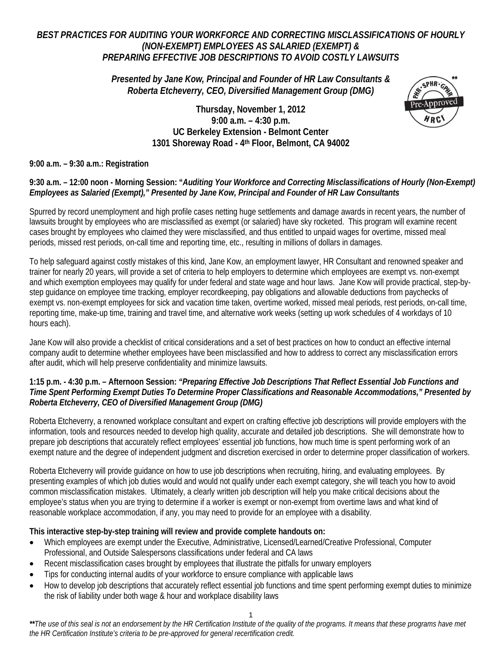# *BEST PRACTICES FOR AUDITING YOUR WORKFORCE AND CORRECTING MISCLASSIFICATIONS OF HOURLY (NON-EXEMPT) EMPLOYEES AS SALARIED (EXEMPT) & PREPARING EFFECTIVE JOB DESCRIPTIONS TO AVOID COSTLY LAWSUITS*

*Presented by Jane Kow, Principal and Founder of HR Law Consultants & Roberta Etcheverry, CEO, Diversified Management Group (DMG)*

# **Thursday, November 1, 2012 9:00 a.m. – 4:30 p.m. UC Berkeley Extension - Belmont Center 1301 Shoreway Road - 4th Floor, Belmont, CA 94002**



## **9:00 a.m. – 9:30 a.m.: Registration**

# **9:30 a.m. – 12:00 noon - Morning Session: "***Auditing Your Workforce and Correcting Misclassifications of Hourly (Non-Exempt) Employees as Salaried (Exempt)," Presented by Jane Kow, Principal and Founder of HR Law Consultants*

Spurred by record unemployment and high profile cases netting huge settlements and damage awards in recent years, the number of lawsuits brought by employees who are misclassified as exempt (or salaried) have sky rocketed. This program will examine recent cases brought by employees who claimed they were misclassified, and thus entitled to unpaid wages for overtime, missed meal periods, missed rest periods, on-call time and reporting time, etc., resulting in millions of dollars in damages.

To help safeguard against costly mistakes of this kind, Jane Kow, an employment lawyer, HR Consultant and renowned speaker and trainer for nearly 20 years, will provide a set of criteria to help employers to determine which employees are exempt vs. non-exempt and which exemption employees may qualify for under federal and state wage and hour laws. Jane Kow will provide practical, step-bystep guidance on employee time tracking, employer recordkeeping, pay obligations and allowable deductions from paychecks of exempt vs. non-exempt employees for sick and vacation time taken, overtime worked, missed meal periods, rest periods, on-call time, reporting time, make-up time, training and travel time, and alternative work weeks (setting up work schedules of 4 workdays of 10 hours each).

Jane Kow will also provide a checklist of critical considerations and a set of best practices on how to conduct an effective internal company audit to determine whether employees have been misclassified and how to address to correct any misclassification errors after audit, which will help preserve confidentiality and minimize lawsuits.

## **1:15 p.m. - 4:30 p.m. – Afternoon Session:** *"Preparing Effective Job Descriptions That Reflect Essential Job Functions and Time Spent Performing Exempt Duties To Determine Proper Classifications and Reasonable Accommodations," Presented by Roberta Etcheverry, CEO of Diversified Management Group (DMG)*

Roberta Etcheverry, a renowned workplace consultant and expert on crafting effective job descriptions will provide employers with the information, tools and resources needed to develop high quality, accurate and detailed job descriptions. She will demonstrate how to prepare job descriptions that accurately reflect employees' essential job functions, how much time is spent performing work of an exempt nature and the degree of independent judgment and discretion exercised in order to determine proper classification of workers.

Roberta Etcheverry will provide guidance on how to use job descriptions when recruiting, hiring, and evaluating employees. By presenting examples of which job duties would and would not qualify under each exempt category, she will teach you how to avoid common misclassification mistakes. Ultimately, a clearly written job description will help you make critical decisions about the employee's status when you are trying to determine if a worker is exempt or non-exempt from overtime laws and what kind of reasonable workplace accommodation, if any, you may need to provide for an employee with a disability.

### **This interactive step-by-step training will review and provide complete handouts on:**

- Which employees are exempt under the Executive, Administrative, Licensed/Learned/Creative Professional, Computer Professional, and Outside Salespersons classifications under federal and CA laws
- Recent misclassification cases brought by employees that illustrate the pitfalls for unwary employers
- Tips for conducting internal audits of your workforce to ensure compliance with applicable laws
- How to develop job descriptions that accurately reflect essential job functions and time spent performing exempt duties to minimize the risk of liability under both wage & hour and workplace disability laws

1

*\*\*The use of this seal is not an endorsement by the HR Certification Institute of the quality of the programs. It means that these programs have met the HR Certification Institute's criteria to be pre-approved for general recertification credit.*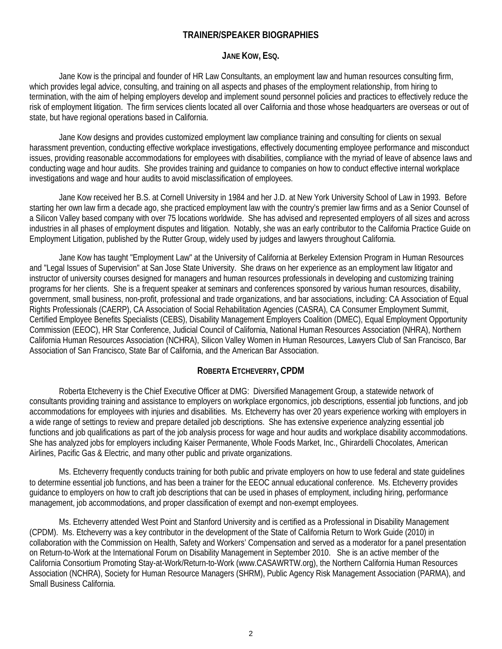# **TRAINER/SPEAKER BIOGRAPHIES**

#### **JANE KOW, ESQ.**

Jane Kow is the principal and founder of HR Law Consultants, an employment law and human resources consulting firm, which provides legal advice, consulting, and training on all aspects and phases of the employment relationship, from hiring to termination, with the aim of helping employers develop and implement sound personnel policies and practices to effectively reduce the risk of employment litigation. The firm services clients located all over California and those whose headquarters are overseas or out of state, but have regional operations based in California.

Jane Kow designs and provides customized employment law compliance training and consulting for clients on sexual harassment prevention, conducting effective workplace investigations, effectively documenting employee performance and misconduct issues, providing reasonable accommodations for employees with disabilities, compliance with the myriad of leave of absence laws and conducting wage and hour audits. She provides training and guidance to companies on how to conduct effective internal workplace investigations and wage and hour audits to avoid misclassification of employees.

Jane Kow received her B.S. at Cornell University in 1984 and her J.D. at New York University School of Law in 1993. Before starting her own law firm a decade ago, she practiced employment law with the country's premier law firms and as a Senior Counsel of a Silicon Valley based company with over 75 locations worldwide. She has advised and represented employers of all sizes and across industries in all phases of employment disputes and litigation. Notably, she was an early contributor to the California Practice Guide on Employment Litigation, published by the Rutter Group, widely used by judges and lawyers throughout California.

Jane Kow has taught "Employment Law" at the University of California at Berkeley Extension Program in Human Resources and "Legal Issues of Supervision" at San Jose State University. She draws on her experience as an employment law litigator and instructor of university courses designed for managers and human resources professionals in developing and customizing training programs for her clients. She is a frequent speaker at seminars and conferences sponsored by various human resources, disability, government, small business, non-profit, professional and trade organizations, and bar associations, including: CA Association of Equal Rights Professionals (CAERP), CA Association of Social Rehabilitation Agencies (CASRA), CA Consumer Employment Summit, Certified Employee Benefits Specialists (CEBS), Disability Management Employers Coalition (DMEC), Equal Employment Opportunity Commission (EEOC), HR Star Conference, Judicial Council of California, National Human Resources Association (NHRA), Northern California Human Resources Association (NCHRA), Silicon Valley Women in Human Resources, Lawyers Club of San Francisco, Bar Association of San Francisco, State Bar of California, and the American Bar Association.

### **ROBERTA ETCHEVERRY, CPDM**

Roberta Etcheverry is the Chief Executive Officer at DMG: Diversified Management Group, a statewide network of consultants providing training and assistance to employers on workplace ergonomics, job descriptions, essential job functions, and job accommodations for employees with injuries and disabilities. Ms. Etcheverry has over 20 years experience working with employers in a wide range of settings to review and prepare detailed job descriptions. She has extensive experience analyzing essential job functions and job qualifications as part of the job analysis process for wage and hour audits and workplace disability accommodations. She has analyzed jobs for employers including Kaiser Permanente, Whole Foods Market, Inc., Ghirardelli Chocolates, American Airlines, Pacific Gas & Electric, and many other public and private organizations.

Ms. Etcheverry frequently conducts training for both public and private employers on how to use federal and state guidelines to determine essential job functions, and has been a trainer for the EEOC annual educational conference. Ms. Etcheverry provides guidance to employers on how to craft job descriptions that can be used in phases of employment, including hiring, performance management, job accommodations, and proper classification of exempt and non-exempt employees.

Ms. Etcheverry attended West Point and Stanford University and is certified as a Professional in Disability Management (CPDM). Ms. Etcheverry was a key contributor in the development of the State of California Return to Work Guide (2010) in collaboration with the Commission on Health, Safety and Workers' Compensation and served as a moderator for a panel presentation on Return-to-Work at the International Forum on Disability Management in September 2010. She is an active member of the California Consortium Promoting Stay-at-Work/Return-to-Work (www.CASAWRTW.org), the Northern California Human Resources Association (NCHRA), Society for Human Resource Managers (SHRM), Public Agency Risk Management Association (PARMA), and Small Business California.